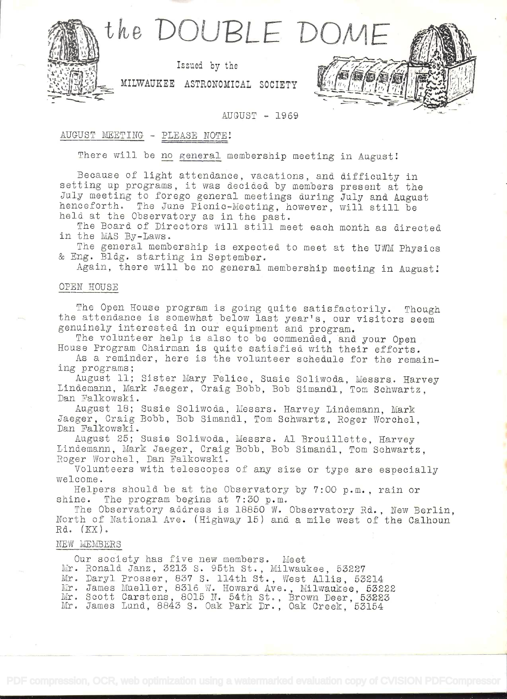

#### AUGUST - 1969

# AUGUST MEETING - PLEASE NOTE!

 $\frac{1}{2}$   $\frac{1}{2}$   $\frac{1}{2}$   $\frac{1}{2}$   $\frac{1}{2}$   $\frac{1}{2}$   $\frac{1}{2}$   $\frac{1}{2}$   $\frac{1}{2}$   $\frac{1}{2}$   $\frac{1}{2}$   $\frac{1}{2}$   $\frac{1}{2}$   $\frac{1}{2}$   $\frac{1}{2}$   $\frac{1}{2}$   $\frac{1}{2}$   $\frac{1}{2}$   $\frac{1}{2}$   $\frac{1}{2}$   $\frac{1}{2}$   $\frac{1}{2}$ 

There will be no general membership meeting in August!

Because of light attendance, vacations, and difficulty in<br>setting up programs, it was decided by members present at the<br>July meeting to forego general meetings during July and August<br>henceforth. The June Picnic-Meeting, ho

The general membership is expected to meet at the UWM Physics & Eng. Bldg. starting in September.

Again, there will be no general membership meeting in August!

## OPEN HOUSE

The Open House program is going quite satisfactorily. Though<br>the attendance is somewhat below last year's, our visitors seem<br>genuinely interested in our equipment and program.<br>The volunteer help is also to be commended, an

ing programs;<br>August 11; Sister Mary Felice, Susie Soliwoda, Messrs. Harvey<br>Lindemann, Mark Jaeger, Craig Bobb, Bob Simandl, Tom Schwartz,<br>Dan Falkowski.

August 18; Susie Soliwoda, Messrs. Harvey Lindemann, Mark Jaeger, Craig Bobb, Bob Simandl, Tom Schwartz, Roger Worchel. Dan Palkowski.

August 25; Susie Soliwoda, Messrs. Al Brouillette, Harvey<br>Lindemann, Mark Jaeger, Craig Bobb, Bob Simandl, Tom Schwartz,<br>Roger Worchel, Dan Falkowski.

Volunteers with telescopes of any size or type are especially welcome.

Helpers should be at the Observatory by 7:00 p.m., rain or shine. The program begins at 7:30 p.m.

The Observatory address is 18850 W. Observatory Rd., New Berlin, North of National Ave. (Highway 15) and a mile west of the Calhoun  $Rd.$   $(KX)$ .

## NEW MEMBERS

Our society has five new members. Meet Mr. Ronald Janz, 3213 S. 95th St., Milwaukee, 53227 Mr. Daryl Prosser, 837 S. 114th St., West Allis, 53214 Mr. James Mueller, 8316 W. Howard Ave., Milwaukee, 53222 Mr. Scott Carstens, 8015 N. 54th St., Brown Deer, 53223 Mr. James Lund, 8843 S. Oak Park Dr., Oak Creek, 53154